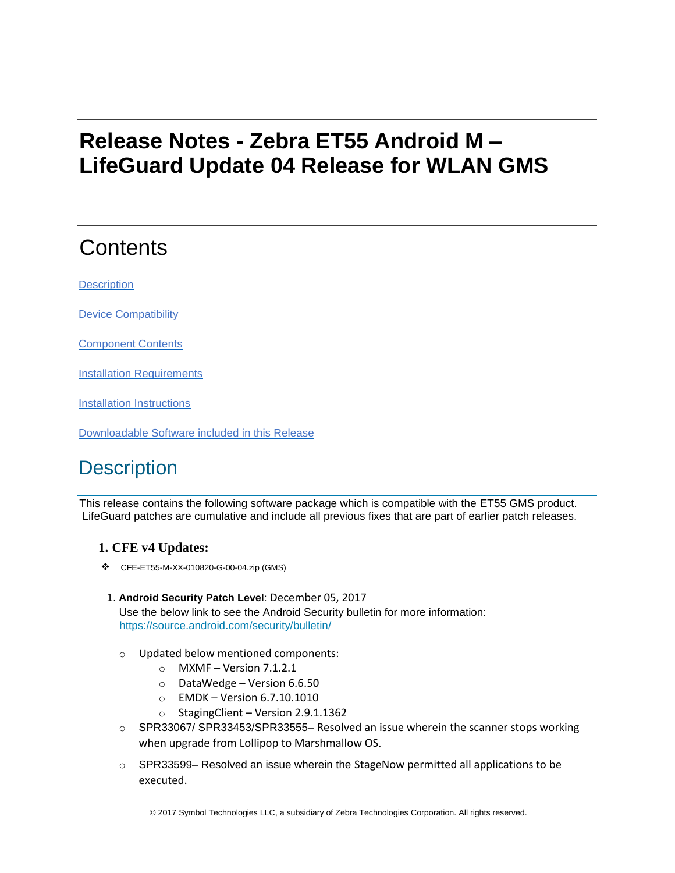# **Release Notes - Zebra ET55 Android M – LifeGuard Update 04 Release for WLAN GMS**

# **Contents**

**[Description](#page-0-0)** 

[Device Compatibility](#page-2-0)

[Component Contents](#page-2-1)

[Installation Requirements](#page-2-2)

[Installation Instructions](#page-2-3)

[Downloadable Software included in this Release](#page-3-0)

# <span id="page-0-0"></span>**Description**

This release contains the following software package which is compatible with the ET55 GMS product. LifeGuard patches are cumulative and include all previous fixes that are part of earlier patch releases.

## **1. CFE v4 Updates:**

CFE-ET55-M-XX-010820-G-00-04.zip (GMS)

### 1. **Android Security Patch Level**: December 05, 2017 Use the below link to see the Android Security bulletin for more information:

<https://source.android.com/security/bulletin/>

- o Updated below mentioned components:
	- $\circ$  MXMF Version 7.1.2.1
	- o DataWedge Version 6.6.50
	- o EMDK Version 6.7.10.1010
	- o StagingClient Version 2.9.1.1362
- o SPR33067/ SPR33453/SPR33555– Resolved an issue wherein the scanner stops working when upgrade from Lollipop to Marshmallow OS.
- $\circ$  SPR33599– Resolved an issue wherein the StageNow permitted all applications to be executed.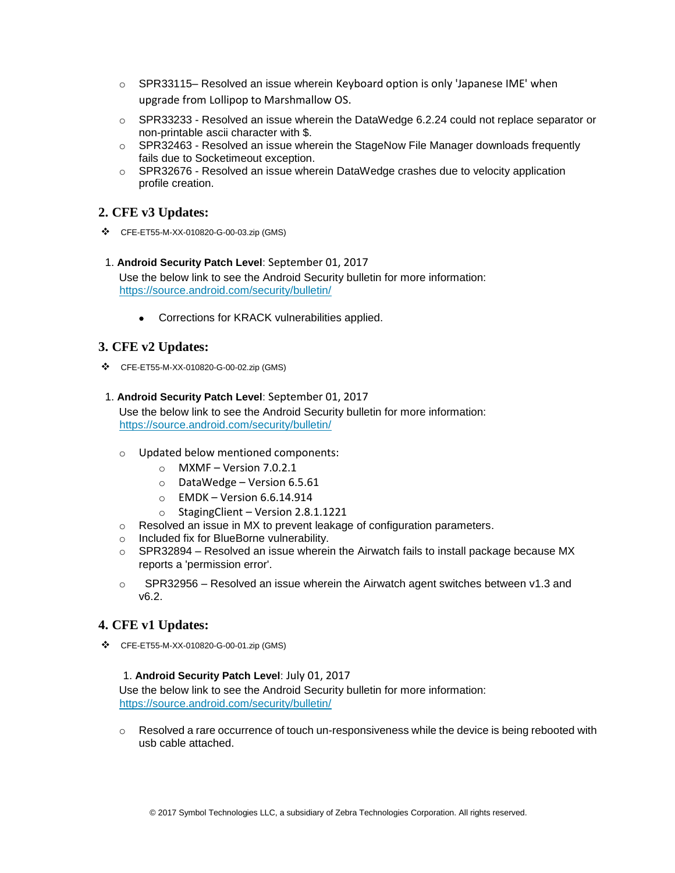- $\circ$  SPR33115– Resolved an issue wherein Keyboard option is only 'Japanese IME' when upgrade from Lollipop to Marshmallow OS.
- o SPR33233 Resolved an issue wherein the DataWedge 6.2.24 could not replace separator or non-printable ascii character with \$.
- $\circ$  SPR32463 Resolved an issue wherein the StageNow File Manager downloads frequently fails due to Socketimeout exception.
- o SPR32676 Resolved an issue wherein DataWedge crashes due to velocity application profile creation.

### **2. CFE v3 Updates:**

- CFE-ET55-M-XX-010820-G-00-03.zip (GMS)
- 1. **Android Security Patch Level**: September 01, 2017 Use the below link to see the Android Security bulletin for more information: <https://source.android.com/security/bulletin/>
	- Corrections for KRACK vulnerabilities applied.

### **3. CFE v2 Updates:**

CFE-ET55-M-XX-010820-G-00-02.zip (GMS)

#### 1. **Android Security Patch Level**: September 01, 2017

Use the below link to see the Android Security bulletin for more information: <https://source.android.com/security/bulletin/>

- o Updated below mentioned components:
	- $\circ$  MXMF Version 7.0.2.1
	- o DataWedge Version 6.5.61
	- $\circ$  EMDK Version 6.6.14.914
	- $\circ$  StagingClient Version 2.8.1.1221
- o Resolved an issue in MX to prevent leakage of configuration parameters.
- o Included fix for BlueBorne vulnerability.
- $\circ$  SPR32894 Resolved an issue wherein the Airwatch fails to install package because MX reports a 'permission error'.
- $\circ$  SPR32956 Resolved an issue wherein the Airwatch agent switches between v1.3 and v6.2.

## **4. CFE v1 Updates:**

CFE-ET55-M-XX-010820-G-00-01.zip (GMS)

#### 1. **Android Security Patch Level**: July 01, 2017

Use the below link to see the Android Security bulletin for more information: <https://source.android.com/security/bulletin/>

 $\circ$  Resolved a rare occurrence of touch un-responsiveness while the device is being rebooted with usb cable attached.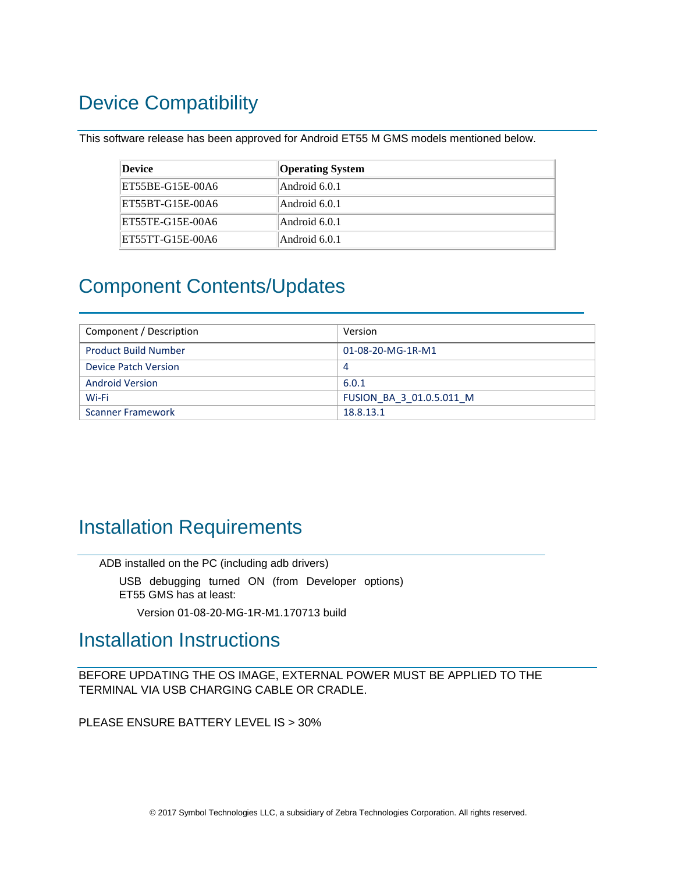# <span id="page-2-0"></span>Device Compatibility

This software release has been approved for Android ET55 M GMS models mentioned below.

| Device           | <b>Operating System</b> |
|------------------|-------------------------|
| ET55BE-G15E-00A6 | Android 6.0.1           |
| ET55BT-G15E-00A6 | Android 6.0.1           |
| ET55TE-G15E-00A6 | Android 6.0.1           |
| ET55TT-G15E-00A6 | Android 6.0.1           |

## <span id="page-2-1"></span>Component Contents/Updates

| Component / Description     | Version                  |
|-----------------------------|--------------------------|
| <b>Product Build Number</b> | 01-08-20-MG-1R-M1        |
| Device Patch Version        | -4                       |
| <b>Android Version</b>      | 6.0.1                    |
| Wi-Fi                       | FUSION BA 3 01.0.5.011 M |
| <b>Scanner Framework</b>    | 18.8.13.1                |

## <span id="page-2-2"></span>Installation Requirements

ADB installed on the PC (including adb drivers)

USB debugging turned ON (from Developer options) ET55 GMS has at least:

Version 01-08-20-MG-1R-M1.170713 build

## <span id="page-2-3"></span>Installation Instructions

BEFORE UPDATING THE OS IMAGE, EXTERNAL POWER MUST BE APPLIED TO THE TERMINAL VIA USB CHARGING CABLE OR CRADLE.

PLEASE ENSURE BATTERY LEVEL IS > 30%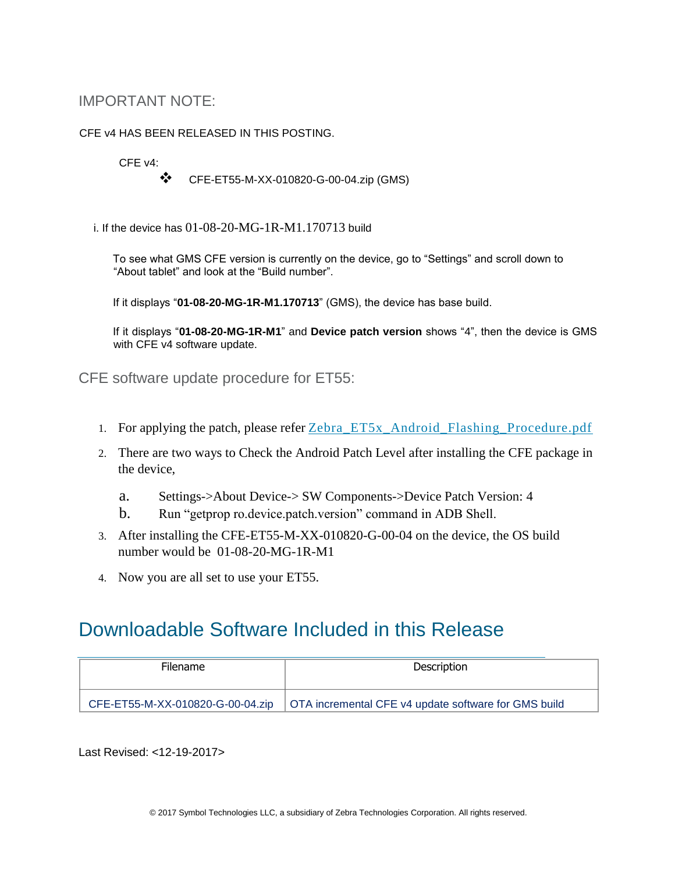## IMPORTANT NOTE:

#### CFE v4 HAS BEEN RELEASED IN THIS POSTING.

CFE v4:

CFE-ET55-M-XX-010820-G-00-04.zip (GMS)

i. If the device has  $01-08-20-MG-1R-M1.170713$  build

To see what GMS CFE version is currently on the device, go to "Settings" and scroll down to "About tablet" and look at the "Build number".

If it displays "**01-08-20-MG-1R-M1.170713**" (GMS), the device has base build.

If it displays "**01-08-20-MG-1R-M1**" and **Device patch version** shows "4", then the device is GMS with CFE v4 software update.

CFE software update procedure for ET55:

- 1. For applying the patch, please refer [Zebra\\_ET5x\\_Android\\_Flashing\\_Procedure.pdf](https://www.zebra.com/content/dam/zebra_new_ia/en-us/software/operating-system/ET5X%20Operating%20System/Zebra-ET5x-Android-Flashing-Procedure.pdf)
- 2. There are two ways to Check the Android Patch Level after installing the CFE package in the device,
	- a. Settings->About Device-> SW Components->Device Patch Version: 4
	- b. Run "getprop ro.device.patch.version" command in ADB Shell.
- 3. After installing the CFE-ET55-M-XX-010820-G-00-04 on the device, the OS build number would be 01-08-20-MG-1R-M1
- 4. Now you are all set to use your ET55.

## <span id="page-3-0"></span>Downloadable Software Included in this Release

| <b>Filename</b> | Description                                                                             |
|-----------------|-----------------------------------------------------------------------------------------|
|                 | CFE-ET55-M-XX-010820-G-00-04.zip   OTA incremental CFE v4 update software for GMS build |

Last Revised: <12-19-2017>